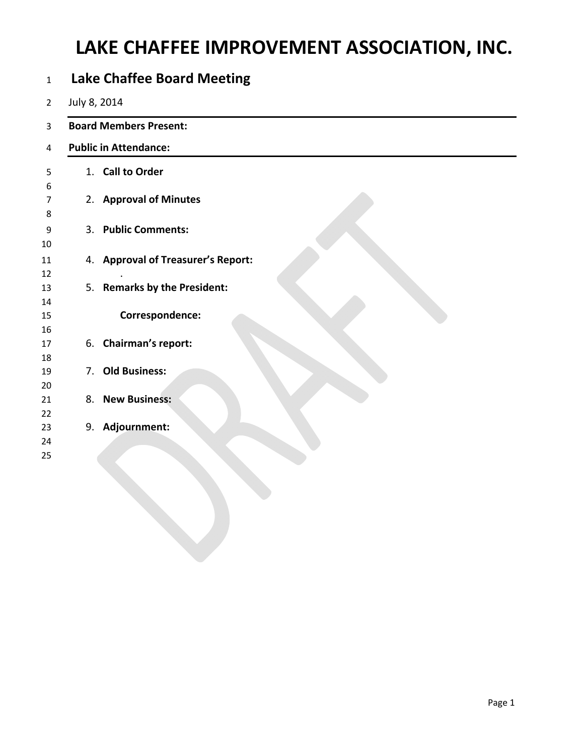# **LAKE CHAFFEE IMPROVEMENT ASSOCIATION, INC.**

|                              | <b>Board Members Present:</b>      |  |  |  |  |  |  |
|------------------------------|------------------------------------|--|--|--|--|--|--|
| <b>Public in Attendance:</b> |                                    |  |  |  |  |  |  |
|                              | 1. Call to Order                   |  |  |  |  |  |  |
|                              | 2. Approval of Minutes             |  |  |  |  |  |  |
|                              | 3. Public Comments:                |  |  |  |  |  |  |
|                              | 4. Approval of Treasurer's Report: |  |  |  |  |  |  |
|                              | 5. Remarks by the President:       |  |  |  |  |  |  |
|                              | Correspondence:                    |  |  |  |  |  |  |
|                              | 6. Chairman's report:              |  |  |  |  |  |  |
| 7.                           | <b>Old Business:</b>               |  |  |  |  |  |  |
|                              | 8. New Business:                   |  |  |  |  |  |  |
|                              | 9. Adjournment:                    |  |  |  |  |  |  |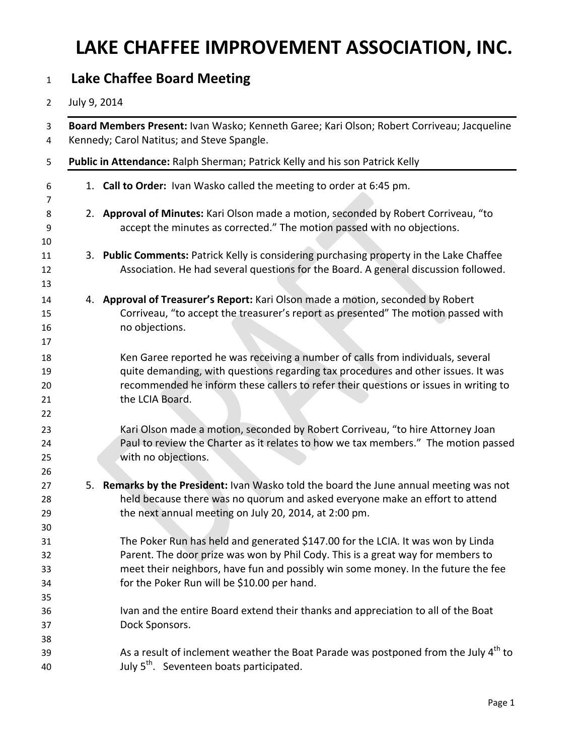# **LAKE CHAFFEE IMPROVEMENT ASSOCIATION, INC.**

### **Lake Chaffee Board Meeting**

#### July 9, 2014

| Board Members Present: Ivan Wasko; Kenneth Garee; Kari Olson; Robert Corriveau; Jacqueline<br>Kennedy; Carol Natitus; and Steve Spangle.                                                                                                                                                               |
|--------------------------------------------------------------------------------------------------------------------------------------------------------------------------------------------------------------------------------------------------------------------------------------------------------|
| Public in Attendance: Ralph Sherman; Patrick Kelly and his son Patrick Kelly                                                                                                                                                                                                                           |
| 1. Call to Order: Ivan Wasko called the meeting to order at 6:45 pm.                                                                                                                                                                                                                                   |
| 2. Approval of Minutes: Kari Olson made a motion, seconded by Robert Corriveau, "to<br>accept the minutes as corrected." The motion passed with no objections.                                                                                                                                         |
| 3. Public Comments: Patrick Kelly is considering purchasing property in the Lake Chaffee<br>Association. He had several questions for the Board. A general discussion followed.                                                                                                                        |
| 4. Approval of Treasurer's Report: Kari Olson made a motion, seconded by Robert<br>Corriveau, "to accept the treasurer's report as presented" The motion passed with<br>no objections.                                                                                                                 |
| Ken Garee reported he was receiving a number of calls from individuals, several<br>quite demanding, with questions regarding tax procedures and other issues. It was<br>recommended he inform these callers to refer their questions or issues in writing to<br>the LCIA Board.                        |
| Kari Olson made a motion, seconded by Robert Corriveau, "to hire Attorney Joan<br>Paul to review the Charter as it relates to how we tax members." The motion passed<br>with no objections.                                                                                                            |
| 5. Remarks by the President: Ivan Wasko told the board the June annual meeting was not<br>held because there was no quorum and asked everyone make an effort to attend<br>the next annual meeting on July 20, 2014, at 2:00 pm.                                                                        |
| The Poker Run has held and generated \$147.00 for the LCIA. It was won by Linda<br>Parent. The door prize was won by Phil Cody. This is a great way for members to<br>meet their neighbors, have fun and possibly win some money. In the future the fee<br>for the Poker Run will be \$10.00 per hand. |
| Ivan and the entire Board extend their thanks and appreciation to all of the Boat<br>Dock Sponsors.                                                                                                                                                                                                    |
| As a result of inclement weather the Boat Parade was postponed from the July $4th$ to<br>July 5 <sup>th</sup> . Seventeen boats participated.                                                                                                                                                          |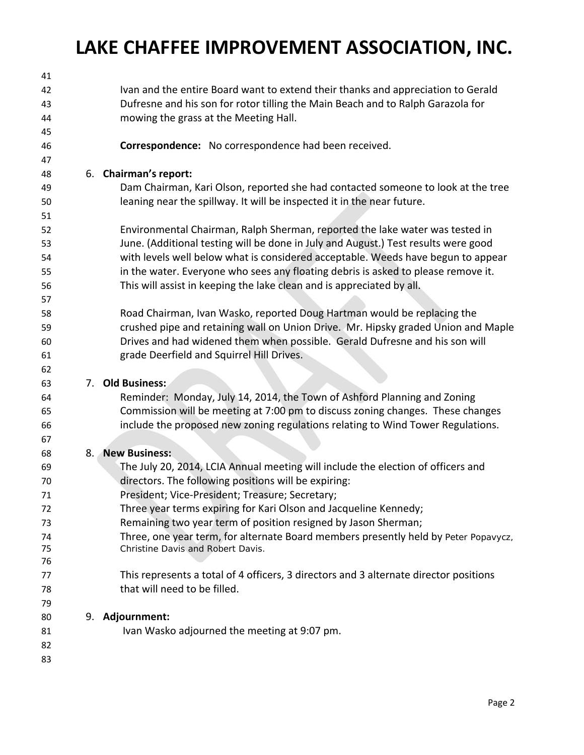# **LAKE CHAFFEE IMPROVEMENT ASSOCIATION, INC.**

| 41 |    |                                                                                       |
|----|----|---------------------------------------------------------------------------------------|
| 42 |    | Ivan and the entire Board want to extend their thanks and appreciation to Gerald      |
| 43 |    | Dufresne and his son for rotor tilling the Main Beach and to Ralph Garazola for       |
| 44 |    | mowing the grass at the Meeting Hall.                                                 |
| 45 |    |                                                                                       |
| 46 |    | Correspondence: No correspondence had been received.                                  |
| 47 |    |                                                                                       |
| 48 |    | 6. Chairman's report:                                                                 |
| 49 |    | Dam Chairman, Kari Olson, reported she had contacted someone to look at the tree      |
| 50 |    | leaning near the spillway. It will be inspected it in the near future.                |
| 51 |    |                                                                                       |
| 52 |    | Environmental Chairman, Ralph Sherman, reported the lake water was tested in          |
| 53 |    | June. (Additional testing will be done in July and August.) Test results were good    |
| 54 |    | with levels well below what is considered acceptable. Weeds have begun to appear      |
| 55 |    | in the water. Everyone who sees any floating debris is asked to please remove it.     |
| 56 |    | This will assist in keeping the lake clean and is appreciated by all.                 |
| 57 |    |                                                                                       |
| 58 |    | Road Chairman, Ivan Wasko, reported Doug Hartman would be replacing the               |
| 59 |    | crushed pipe and retaining wall on Union Drive. Mr. Hipsky graded Union and Maple     |
| 60 |    | Drives and had widened them when possible. Gerald Dufresne and his son will           |
| 61 |    | grade Deerfield and Squirrel Hill Drives.                                             |
| 62 |    |                                                                                       |
| 63 | 7. | <b>Old Business:</b>                                                                  |
| 64 |    | Reminder: Monday, July 14, 2014, the Town of Ashford Planning and Zoning              |
| 65 |    | Commission will be meeting at 7:00 pm to discuss zoning changes. These changes        |
| 66 |    | include the proposed new zoning regulations relating to Wind Tower Regulations.       |
| 67 |    |                                                                                       |
| 68 |    | 8. New Business:                                                                      |
| 69 |    | The July 20, 2014, LCIA Annual meeting will include the election of officers and      |
| 70 |    | directors. The following positions will be expiring:                                  |
| 71 |    | President; Vice-President; Treasure; Secretary;                                       |
| 72 |    | Three year terms expiring for Kari Olson and Jacqueline Kennedy;                      |
| 73 |    | Remaining two year term of position resigned by Jason Sherman;                        |
| 74 |    | Three, one year term, for alternate Board members presently held by Peter Popavycz,   |
| 75 |    | Christine Davis and Robert Davis.                                                     |
| 76 |    |                                                                                       |
| 77 |    | This represents a total of 4 officers, 3 directors and 3 alternate director positions |
| 78 |    | that will need to be filled.                                                          |
| 79 |    |                                                                                       |
| 80 |    | 9. Adjournment:                                                                       |
| 81 |    | Ivan Wasko adjourned the meeting at 9:07 pm.                                          |
| 82 |    |                                                                                       |
| 83 |    |                                                                                       |
|    |    |                                                                                       |